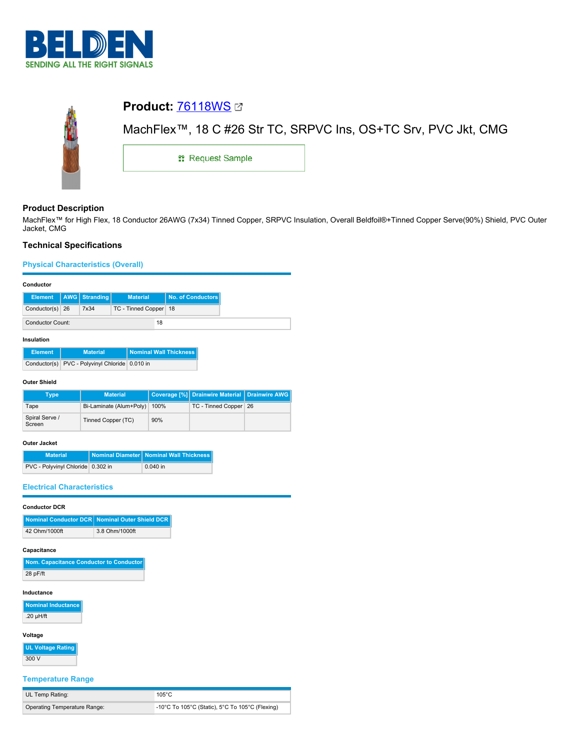



# **Product Description**

MachFlex™ for High Flex, 18 Conductor 26AWG (7x34) Tinned Copper, SRPVC Insulation, Overall Beldfoil®+Tinned Copper Serve(90%) Shield, PVC Outer Jacket, CMG

# **Technical Specifications**

**Physical Characteristics (Overall)**

#### **Conductor**

|                         | Element   AWG   Stranding | <b>Material</b>         |    | No. of Conductors |
|-------------------------|---------------------------|-------------------------|----|-------------------|
| Conductor(s) 26         | 7x34                      | TC - Tinned Copper   18 |    |                   |
| <b>Conductor Count:</b> |                           |                         | 18 |                   |

### **Insulation**

| <b>Element</b> | <b>Material</b>                                | <b>Nominal Wall Thickness</b> |
|----------------|------------------------------------------------|-------------------------------|
|                | Conductor(s) PVC - Polyvinyl Chloride 0.010 in |                               |

### **Outer Shield**

| Type                     | <b>Material</b>         |      | Coverage [%] Drainwire Material   Drainwire AWG |  |
|--------------------------|-------------------------|------|-------------------------------------------------|--|
| Tape                     | Bi-Laminate (Alum+Poly) | 100% | TC - Tinned Copper 26                           |  |
| Spiral Serve /<br>Screen | Tinned Copper (TC)      | 90%  |                                                 |  |

## **Outer Jacket**

| <b>Material</b>                     | Nominal Diameter   Nominal Wall Thickness |
|-------------------------------------|-------------------------------------------|
| PVC - Polyvinyl Chloride   0.302 in | $0.040$ in                                |

## **Electrical Characteristics**

# **Conductor DCR**

|               | Nominal Conductor DCR Nominal Outer Shield DCR |
|---------------|------------------------------------------------|
| 42 Ohm/1000ft | 3.8 Ohm/1000ft                                 |

#### **Capacitance**

| Nom. Capacitance Conductor to Conductor |
|-----------------------------------------|
| $28$ pF/ft                              |

#### **Inductance**

**Nominal Inductance** .20 µH/ft

# **Voltage**

**UL Voltage Rating**

# 300 V

## **Temperature Range**

| UL Temp Rating:              | $105^{\circ}$ C                                 |
|------------------------------|-------------------------------------------------|
| Operating Temperature Range: | -10°C To 105°C (Static), 5°C To 105°C (Flexing) |